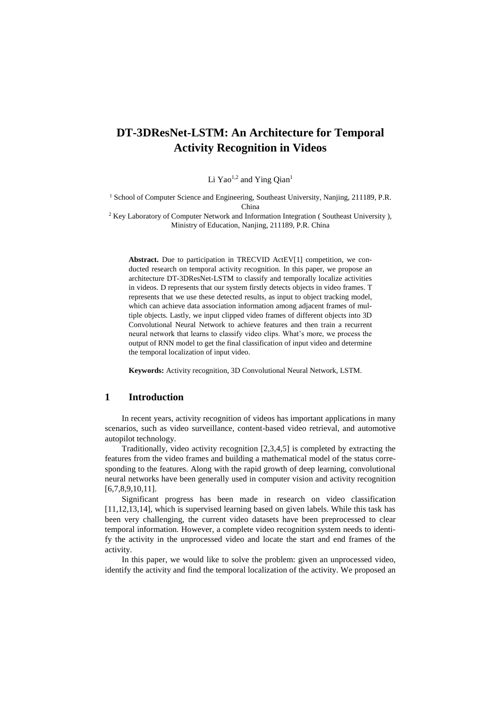# **DT-3DResNet-LSTM: An Architecture for Temporal Activity Recognition in Videos**

Li Yao<sup>1,2</sup> and Ying Qian<sup>1</sup>

<sup>1</sup> School of Computer Science and Engineering, Southeast University, Nanjing, 211189, P.R. China

<sup>2</sup> Key Laboratory of Computer Network and Information Integration (Southeast University), Ministry of Education, Nanjing, 211189, P.R. China

**Abstract.** Due to participation in TRECVID ActEV[1] competition, we conducted research on temporal activity recognition. In this paper, we propose an architecture DT-3DResNet-LSTM to classify and temporally localize activities in videos. D represents that our system firstly detects objects in video frames. T represents that we use these detected results, as input to object tracking model, which can achieve data association information among adjacent frames of multiple objects. Lastly, we input clipped video frames of different objects into 3D Convolutional Neural Network to achieve features and then train a recurrent neural network that learns to classify video clips. What's more, we process the output of RNN model to get the final classification of input video and determine the temporal localization of input video.

**Keywords:** Activity recognition, 3D Convolutional Neural Network, LSTM.

### **1 Introduction**

In recent years, activity recognition of videos has important applications in many scenarios, such as video surveillance, content-based video retrieval, and automotive autopilot technology.

Traditionally, video activity recognition [2,3,4,5] is completed by extracting the features from the video frames and building a mathematical model of the status corresponding to the features. Along with the rapid growth of deep learning, convolutional neural networks have been generally used in computer vision and activity recognition [6,7,8,9,10,11].

Significant progress has been made in research on video classification [11,12,13,14], which is supervised learning based on given labels. While this task has been very challenging, the current video datasets have been preprocessed to clear temporal information. However, a complete video recognition system needs to identify the activity in the unprocessed video and locate the start and end frames of the activity.

In this paper, we would like to solve the problem: given an unprocessed video, identify the activity and find the temporal localization of the activity. We proposed an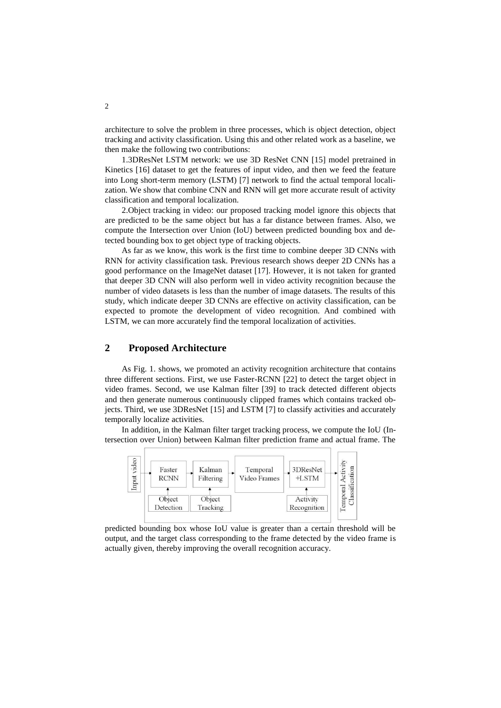architecture to solve the problem in three processes, which is object detection, object tracking and activity classification. Using this and other related work as a baseline, we then make the following two contributions:

1.3DResNet LSTM network: we use 3D ResNet CNN [15] model pretrained in Kinetics [16] dataset to get the features of input video, and then we feed the feature into Long short-term memory (LSTM) [7] network to find the actual temporal localization. We show that combine CNN and RNN will get more accurate result of activity classification and temporal localization.

2.Object tracking in video: our proposed tracking model ignore this objects that are predicted to be the same object but has a far distance between frames. Also, we compute the Intersection over Union (IoU) between predicted bounding box and detected bounding box to get object type of tracking objects.

As far as we know, this work is the first time to combine deeper 3D CNNs with RNN for activity classification task. Previous research shows deeper 2D CNNs has a good performance on the ImageNet dataset [17]. However, it is not taken for granted that deeper 3D CNN will also perform well in video activity recognition because the number of video datasets is less than the number of image datasets. The results of this study, which indicate deeper 3D CNNs are effective on activity classification, can be expected to promote the development of video recognition. And combined with LSTM, we can more accurately find the temporal localization of activities.

## **2 Proposed Architecture**

As Fig. 1. shows, we promoted an activity recognition architecture that contains three different sections. First, we use Faster-RCNN [22] to detect the target object in video frames. Second, we use Kalman filter [39] to track detected different objects and then generate numerous continuously clipped frames which contains tracked objects. Third, we use 3DResNet [15] and LSTM [7] to classify activities and accurately temporally localize activities.

In addition, in the Kalman filter target tracking process, we compute the IoU (Intersection over Union) between Kalman filter prediction frame and actual frame. The



predicted bounding box whose IoU value is greater than a certain threshold will be output, and the target class corresponding to the frame detected by the video frame is actually given, thereby improving the overall recognition accuracy.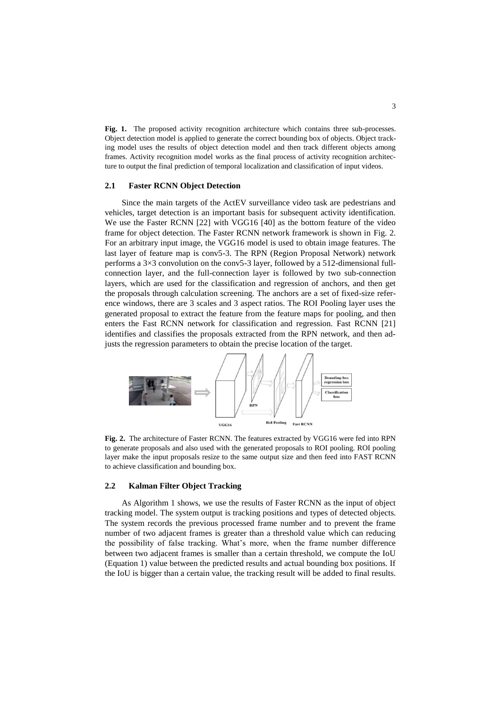**Fig. 1.** The proposed activity recognition architecture which contains three sub-processes. Object detection model is applied to generate the correct bounding box of objects. Object tracking model uses the results of object detection model and then track different objects among frames. Activity recognition model works as the final process of activity recognition architecture to output the final prediction of temporal localization and classification of input videos.

#### **2.1 Faster RCNN Object Detection**

Since the main targets of the ActEV surveillance video task are pedestrians and vehicles, target detection is an important basis for subsequent activity identification. We use the Faster RCNN [22] with VGG16 [40] as the bottom feature of the video frame for object detection. The Faster RCNN network framework is shown in Fig. 2. For an arbitrary input image, the VGG16 model is used to obtain image features. The last layer of feature map is conv5-3. The RPN (Region Proposal Network) network performs a 3×3 convolution on the conv5-3 layer, followed by a 512-dimensional fullconnection layer, and the full-connection layer is followed by two sub-connection layers, which are used for the classification and regression of anchors, and then get the proposals through calculation screening. The anchors are a set of fixed-size reference windows, there are 3 scales and 3 aspect ratios. The ROI Pooling layer uses the generated proposal to extract the feature from the feature maps for pooling, and then enters the Fast RCNN network for classification and regression. Fast RCNN [21] identifies and classifies the proposals extracted from the RPN network, and then adjusts the regression parameters to obtain the precise location of the target.



**Fig. 2.** The architecture of Faster RCNN. The features extracted by VGG16 were fed into RPN to generate proposals and also used with the generated proposals to ROI pooling. ROI pooling layer make the input proposals resize to the same output size and then feed into FAST RCNN to achieve classification and bounding box.

#### **2.2 Kalman Filter Object Tracking**

As Algorithm 1 shows, we use the results of Faster RCNN as the input of object tracking model. The system output is tracking positions and types of detected objects. The system records the previous processed frame number and to prevent the frame number of two adjacent frames is greater than a threshold value which can reducing the possibility of false tracking. What's more, when the frame number difference between two adjacent frames is smaller than a certain threshold, we compute the IoU (Equation 1) value between the predicted results and actual bounding box positions. If the IoU is bigger than a certain value, the tracking result will be added to final results.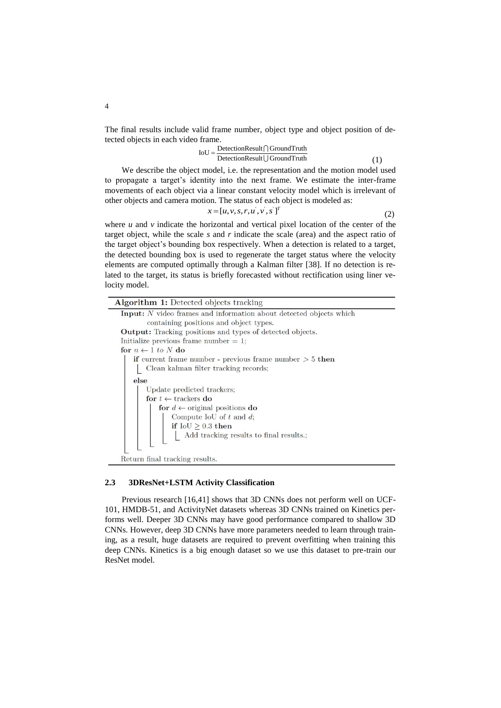The final results include valid frame number, object type and object position of detected objects in each video frame.<br> $IoU = \frac{ DetectionResult \cap Ground Truth}{O}$ 

$$
IoU = \frac{ DetectionResult \cap Ground Truth}{ DetectionResult \cup Ground Truth}
$$
(1)

We describe the object model, i.e. the representation and the motion model used to propagate a target's identity into the next frame. We estimate the inter-frame movements of each object via a linear constant velocity model which is irrelevant of other objects and camera motion. The status of each object is modeled as:

$$
x = [u, v, s, r, u', v', s']^T
$$
\n<sup>(2)</sup>

where  $u$  and  $v$  indicate the horizontal and vertical pixel location of the center of the target object, while the scale *s* and *r* indicate the scale (area) and the aspect ratio of the target object's bounding box respectively. When a detection is related to a target, the detected bounding box is used to regenerate the target status where the velocity elements are computed optimally through a Kalman filter [38]. If no detection is related to the target, its status is briefly forecasted without rectification using liner velocity model.

| <b>Algorithm 1:</b> Detected objects tracking                             |
|---------------------------------------------------------------------------|
| <b>Input:</b> N video frames and information about detected objects which |
| containing positions and object types.                                    |
| <b>Output:</b> Tracking positions and types of detected objects.          |
| Initialize previous frame number $= 1$ ;                                  |
| for $n \leftarrow 1$ to N do                                              |
| <b>if</b> current frame number - previous frame number $>$ 5 then         |
| Clean kalman filter tracking records;                                     |
| else                                                                      |
| Update predicted trackers;                                                |
| for $t \leftarrow$ trackers do                                            |
| for $d \leftarrow$ original positions do                                  |
| Compute IoU of $t$ and $d$ ;                                              |
| if $IoU \geq 0.3$ then                                                    |
| $\operatorname{\mathsf{Add}}$ tracking results to final results.;         |
|                                                                           |
|                                                                           |
| Return final tracking results.                                            |

### **2.3 3DResNet+LSTM Activity Classification**

Previous research [16,41] shows that 3D CNNs does not perform well on UCF-101, HMDB-51, and ActivityNet datasets whereas 3D CNNs trained on Kinetics performs well. Deeper 3D CNNs may have good performance compared to shallow 3D CNNs. However, deep 3D CNNs have more parameters needed to learn through training, as a result, huge datasets are required to prevent overfitting when training this deep CNNs. Kinetics is a big enough dataset so we use this dataset to pre-train our ResNet model.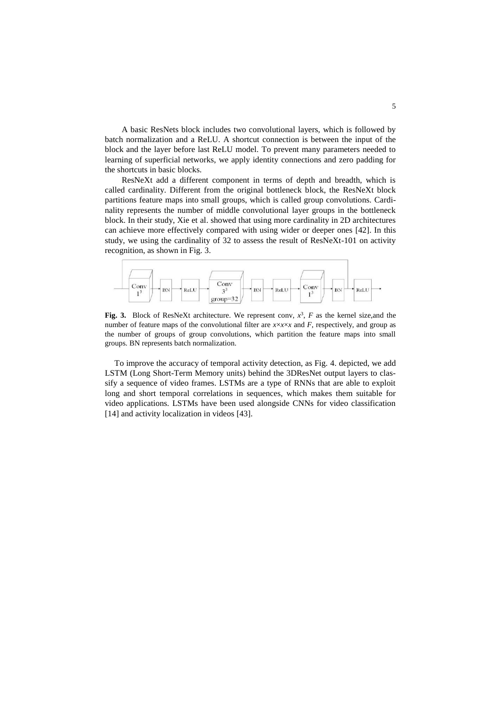A basic ResNets block includes two convolutional layers, which is followed by batch normalization and a ReLU. A shortcut connection is between the input of the block and the layer before last ReLU model. To prevent many parameters needed to learning of superficial networks, we apply identity connections and zero padding for the shortcuts in basic blocks.

ResNeXt add a different component in terms of depth and breadth, which is called cardinality. Different from the original bottleneck block, the ResNeXt block partitions feature maps into small groups, which is called group convolutions. Cardinality represents the number of middle convolutional layer groups in the bottleneck block. In their study, Xie et al. showed that using more cardinality in 2D architectures can achieve more effectively compared with using wider or deeper ones [42]. In this study, we using the cardinality of 32 to assess the result of ResNeXt-101 on activity recognition, as shown in Fig. 3.



**Fig. 3.** Block of ResNeXt architecture. We represent conv,  $x^3$ , F as the kernel size, and the number of feature maps of the convolutional filter are *x*×*x*×*x* and *F*, respectively, and group as the number of groups of group convolutions, which partition the feature maps into small groups. BN represents batch normalization.

To improve the accuracy of temporal activity detection, as Fig. 4. depicted, we add LSTM (Long Short-Term Memory units) behind the 3DResNet output layers to classify a sequence of video frames. LSTMs are a type of RNNs that are able to exploit long and short temporal correlations in sequences, which makes them suitable for video applications. LSTMs have been used alongside CNNs for video classification [14] and activity localization in videos [43].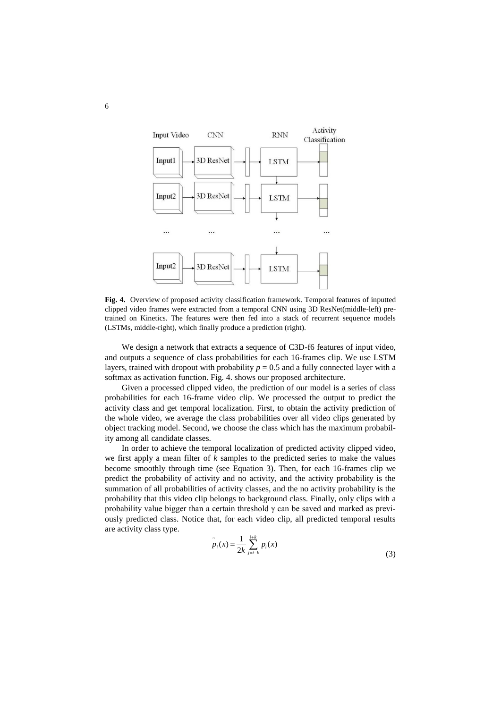

**Fig. 4.** Overview of proposed activity classification framework. Temporal features of inputted clipped video frames were extracted from a temporal CNN using 3D ResNet(middle-left) pretrained on Kinetics. The features were then fed into a stack of recurrent sequence models (LSTMs, middle-right), which finally produce a prediction (right).

We design a network that extracts a sequence of C3D-f6 features of input video, and outputs a sequence of class probabilities for each 16-frames clip. We use LSTM layers, trained with dropout with probability  $p = 0.5$  and a fully connected layer with a softmax as activation function. Fig. 4. shows our proposed architecture.

Given a processed clipped video, the prediction of our model is a series of class probabilities for each 16-frame video clip. We processed the output to predict the activity class and get temporal localization. First, to obtain the activity prediction of the whole video, we average the class probabilities over all video clips generated by object tracking model. Second, we choose the class which has the maximum probability among all candidate classes.

In order to achieve the temporal localization of predicted activity clipped video, we first apply a mean filter of *k* samples to the predicted series to make the values become smoothly through time (see Equation 3). Then, for each 16-frames clip we predict the probability of activity and no activity, and the activity probability is the summation of all probabilities of activity classes, and the no activity probability is the probability that this video clip belongs to background class. Finally, only clips with a probability value bigger than a certain threshold  $\gamma$  can be saved and marked as previously predicted class. Notice that, for each video clip, all predicted temporal results are activity class type.

$$
\tilde{p}_i(x) = \frac{1}{2k} \sum_{j=i-k}^{i+k} p_i(x)
$$
\n(3)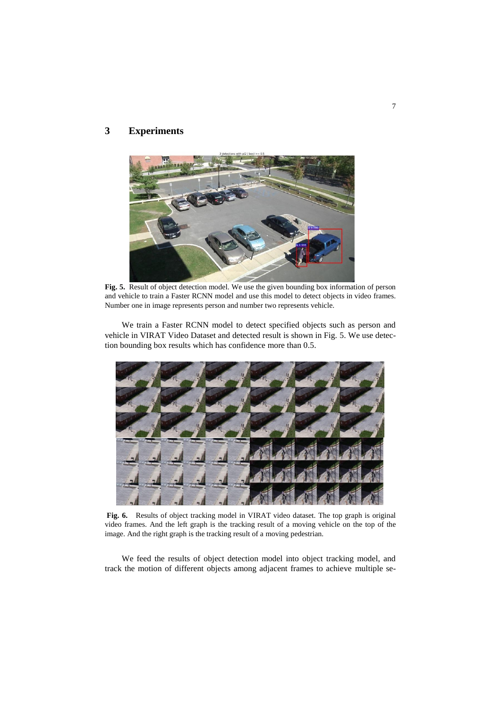# **3 Experiments**



**Fig. 5.** Result of object detection model. We use the given bounding box information of person and vehicle to train a Faster RCNN model and use this model to detect objects in video frames. Number one in image represents person and number two represents vehicle.

We train a Faster RCNN model to detect specified objects such as person and vehicle in VIRAT Video Dataset and detected result is shown in Fig. 5. We use detection bounding box results which has confidence more than 0.5.



**Fig. 6.** Results of object tracking model in VIRAT video dataset. The top graph is original video frames. And the left graph is the tracking result of a moving vehicle on the top of the image. And the right graph is the tracking result of a moving pedestrian.

We feed the results of object detection model into object tracking model, and track the motion of different objects among adjacent frames to achieve multiple se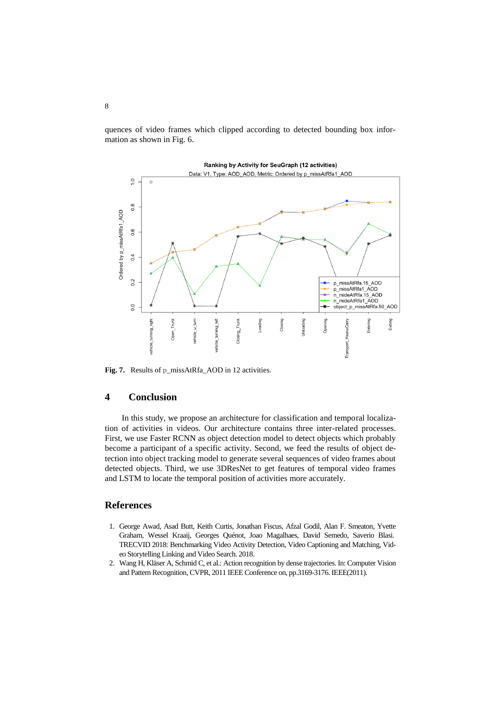quences of video frames which clipped according to detected bounding box information as shown in Fig. 6.



**Fig. 7.** Results of p\_missAtRfa\_AOD in 12 activities.

### **4 Conclusion**

In this study, we propose an architecture for classification and temporal localization of activities in videos. Our architecture contains three inter-related processes. First, we use Faster RCNN as object detection model to detect objects which probably become a participant of a specific activity. Second, we feed the results of object detection into object tracking model to generate several sequences of video frames about detected objects. Third, we use 3DResNet to get features of temporal video frames and LSTM to locate the temporal position of activities more accurately.

## **References**

- 1. George Awad, Asad Butt, Keith Curtis, Jonathan Fiscus, Afzal Godil, Alan F. Smeaton, Yvette Graham, Wessel Kraaij, Georges Quénot, Joao Magalhaes, David Semedo, Saverio Blasi. TRECVID 2018: Benchmarking Video Activity Detection, Video Captioning and Matching, Video Storytelling Linking and Video Search. 2018.
- 2. Wang H, Kläser A, Schmid C, et al.: Action recognition by dense trajectories. In: Computer Vision and Pattern Recognition, CVPR, 2011 IEEE Conference on, pp.3169-3176. IEEE(2011).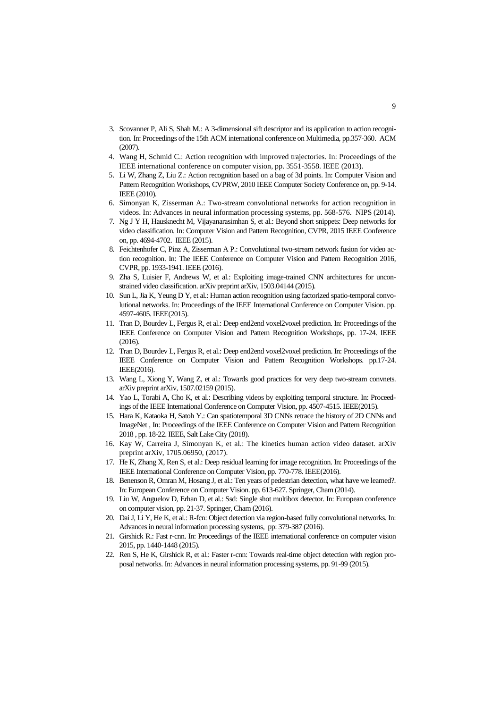- 3. Scovanner P, Ali S, Shah M.: A 3-dimensional sift descriptor and its application to action recognition. In: Proceedings of the 15th ACM international conference on Multimedia, pp.357-360. ACM (2007).
- 4. Wang H, Schmid C.: Action recognition with improved trajectories. In: Proceedings of the IEEE international conference on computer vision, pp. 3551-3558. IEEE (2013).
- 5. Li W, Zhang Z, Liu Z.: Action recognition based on a bag of 3d points. In: Computer Vision and Pattern Recognition Workshops, CVPRW, 2010 IEEE Computer Society Conference on, pp. 9-14. IEEE (2010).
- 6. Simonyan K, Zisserman A.: Two-stream convolutional networks for action recognition in videos. In: Advances in neural information processing systems, pp. 568-576. NIPS (2014).
- 7. Ng J Y H, Hausknecht M, Vijayanarasimhan S, et al.: Beyond short snippets: Deep networks for video classification. In: Computer Vision and Pattern Recognition, CVPR, 2015 IEEE Conference on, pp. 4694-4702. IEEE (2015).
- 8. Feichtenhofer C, Pinz A, Zisserman A P.: Convolutional two-stream network fusion for video action recognition. In: The IEEE Conference on Computer Vision and Pattern Recognition 2016, CVPR, pp. 1933-1941. IEEE (2016).
- 9. Zha S, Luisier F, Andrews W, et al.: Exploiting image-trained CNN architectures for unconstrained video classification. arXiv preprint arXiv, 1503.04144 (2015).
- 10. Sun L, Jia K, Yeung D Y, et al.: Human action recognition using factorized spatio-temporal convolutional networks. In: Proceedings of the IEEE International Conference on Computer Vision. pp. 4597-4605. IEEE(2015).
- 11. Tran D, Bourdev L, Fergus R, et al.: Deep end2end voxel2voxel prediction. In: Proceedings of the IEEE Conference on Computer Vision and Pattern Recognition Workshops, pp. 17-24. IEEE (2016).
- 12. Tran D, Bourdev L, Fergus R, et al.: Deep end2end voxel2voxel prediction. In: Proceedings of the IEEE Conference on Computer Vision and Pattern Recognition Workshops. pp.17-24. IEEE(2016).
- 13. Wang L, Xiong Y, Wang Z, et al.: Towards good practices for very deep two-stream convnets. arXiv preprint arXiv, 1507.02159 (2015).
- 14. Yao L, Torabi A, Cho K, et al.: Describing videos by exploiting temporal structure. In: Proceedings of the IEEE International Conference on Computer Vision, pp. 4507-4515. IEEE(2015).
- 15. Hara K, Kataoka H, Satoh Y.: Can spatiotemporal 3D CNNs retrace the history of 2D CNNs and ImageNet , In: Proceedings of the IEEE Conference on Computer Vision and Pattern Recognition 2018 , pp. 18-22. IEEE, Salt Lake City (2018).
- 16. Kay W, Carreira J, Simonyan K, et al.: The kinetics human action video dataset. arXiv preprint arXiv, 1705.06950, (2017).
- 17. He K, Zhang X, Ren S, et al.: Deep residual learning for image recognition. In: Proceedings of the IEEE International Conference on Computer Vision, pp. 770-778. IEEE(2016).
- 18. Benenson R, Omran M, Hosang J, et al.: Ten years of pedestrian detection, what have we learned?. In: European Conference on Computer Vision. pp. 613-627. Springer, Cham (2014).
- 19. Liu W, Anguelov D, Erhan D, et al.: Ssd: Single shot multibox detector. In: European conference on computer vision, pp. 21-37. Springer, Cham (2016).
- 20. Dai J, Li Y, He K, et al.: R-fcn: Object detection via region-based fully convolutional networks. In: Advances in neural information processing systems, pp: 379-387 (2016).
- 21. Girshick R.: Fast r-cnn. In: Proceedings of the IEEE international conference on computer vision 2015, pp. 1440-1448 (2015).
- 22. Ren S, He K, Girshick R, et al.: Faster r-cnn: Towards real-time object detection with region proposal networks. In: Advances in neural information processing systems, pp. 91-99 (2015).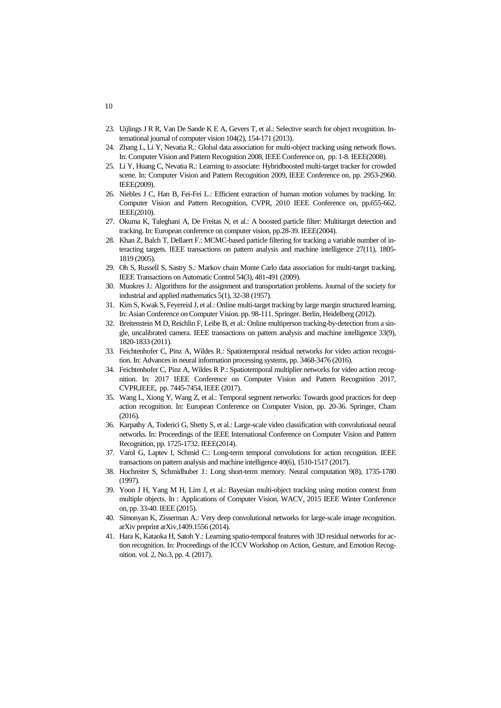- 23. Uijlings J R R, Van De Sande K E A, Gevers T, et al.: Selective search for object recognition. International journal of computer vision 104(2), 154-171 (2013).
- 24. Zhang L, Li Y, Nevatia R.: Global data association for multi-object tracking using network flows. In: Computer Vision and Pattern Recognition 2008, IEEE Conference on, pp. 1-8. IEEE(2008).
- 25. Li Y, Huang C, Nevatia R.: Learning to associate: Hybridboosted multi-target tracker for crowded scene. In: Computer Vision and Pattern Recognition 2009, IEEE Conference on, pp. 2953-2960. IEEE(2009).
- 26. Niebles J C, Han B, Fei-Fei L.: Efficient extraction of human motion volumes by tracking. In: Computer Vision and Pattern Recognition, CVPR, 2010 IEEE Conference on, pp.655-662. IEEE(2010).
- 27. Okuma K, Taleghani A, De Freitas N, et al.: A boosted particle filter: Multitarget detection and tracking. In: European conference on computer vision, pp.28-39. IEEE(2004).
- 28. Khan Z, Balch T, Dellaert F.: MCMC-based particle filtering for tracking a variable number of interacting targets. IEEE transactions on pattern analysis and machine intelligence 27(11), 1805- 1819 (2005).
- 29. Oh S, Russell S, Sastry S.: Markov chain Monte Carlo data association for multi-target tracking. IEEE Transactions on Automatic Control 54(3), 481-491 (2009).
- 30. Munkres J.: Algorithms for the assignment and transportation problems. Journal of the society for industrial and applied mathematics 5(1), 32-38 (1957).
- 31. Kim S, Kwak S, Feyereisl J, et al.: Online multi-target tracking by large margin structured learning. In: Asian Conference on Computer Vision. pp. 98-111. Springer. Berlin, Heidelberg (2012).
- 32. Breitenstein M D, Reichlin F, Leibe B, et al.: Online multiperson tracking-by-detection from a single, uncalibrated camera. IEEE transactions on pattern analysis and machine intelligence 33(9), 1820-1833 (2011).
- 33. Feichtenhofer C, Pinz A, Wildes R.: Spatiotemporal residual networks for video action recognition. In: Advances in neural information processing systems, pp. 3468-3476 (2016).
- 34. Feichtenhofer C, Pinz A, Wildes R P.: Spatiotemporal multiplier networks for video action recognition. In: 2017 IEEE Conference on Computer Vision and Pattern Recognition 2017, CVPR,IEEE, pp. 7445-7454, IEEE (2017).
- 35. Wang L, Xiong Y, Wang Z, et al.: Temporal segment networks: Towards good practices for deep action recognition. In: European Conference on Computer Vision, pp. 20-36. Springer, Cham  $(2016)$ .
- 36. Karpathy A, Toderici G, Shetty S, et al.: Large-scale video classification with convolutional neural networks. In: Proceedings of the IEEE International Conference on Computer Vision and Pattern Recognition, pp. 1725-1732. IEEE(2014).
- 37. Varol G, Laptev I, Schmid C.: Long-term temporal convolutions for action recognition. IEEE transactions on pattern analysis and machine intelligence 40(6), 1510-1517 (2017).
- 38. Hochreiter S, Schmidhuber J.: Long short-term memory. Neural computation 9(8), 1735-1780 (1997).
- 39. Yoon J H, Yang M H, Lim J, et al.: Bayesian multi-object tracking using motion context from multiple objects. In : Applications of Computer Vision, WACV, 2015 IEEE Winter Conference on, pp. 33-40. IEEE (2015).
- 40. Simonyan K, Zisserman A.: Very deep convolutional networks for large-scale image recognition. arXiv preprint arXiv,1409.1556 (2014).
- 41. Hara K, Kataoka H, Satoh Y.: Learning spatio-temporal features with 3D residual networks for action recognition. In: Proceedings of the ICCV Workshop on Action, Gesture, and Emotion Recognition. vol. 2, No.3, pp. 4. (2017).

10